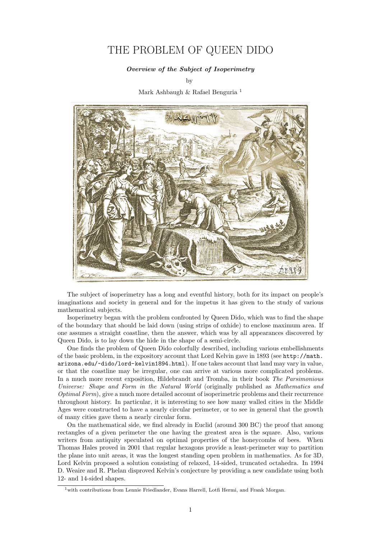## THE PROBLEM OF QUEEN DIDO

## Overview of the Subject of Isoperimetry

by

Mark Ashbaugh & Rafael Benguria [1](#page-0-0)



The subject of isoperimetry has a long and eventful history, both for its impact on people's imaginations and society in general and for the impetus it has given to the study of various mathematical subjects.

Isoperimetry began with the problem confronted by Queen Dido, which was to find the shape of the boundary that should be laid down (using strips of oxhide) to enclose maximum area. If one assumes a straight coastline, then the answer, which was by all appearances discovered by Queen Dido, is to lay down the hide in the shape of a semi-circle.

One finds the problem of Queen Dido colorfully described, including various embellishments of the basic problem, in the expository account that Lord Kelvin gave in 1893 (see [http://math.](http://math.arizona.edu/~dido/lord-kelvin1894.html) [arizona.edu/~dido/lord-kelvin1894.html](http://math.arizona.edu/~dido/lord-kelvin1894.html)). If one takes account that land may vary in value, or that the coastline may be irregular, one can arrive at various more complicated problems. In a much more recent exposition, Hildebrandt and Tromba, in their book The Parsimonious Universe: Shape and Form in the Natural World (originally published as Mathematics and Optimal Form), give a much more detailed account of isoperimetric problems and their recurrence throughout history. In particular, it is interesting to see how many walled cities in the Middle Ages were constructed to have a nearly circular perimeter, or to see in general that the growth of many cities gave them a nearly circular form.

On the mathematical side, we find already in Euclid (around 300 BC) the proof that among rectangles of a given perimeter the one having the greatest area is the square. Also, various writers from antiquity speculated on optimal properties of the honeycombs of bees. When Thomas Hales proved in 2001 that regular hexagons provide a least-perimeter way to partition the plane into unit areas, it was the longest standing open problem in mathematics. As for 3D, Lord Kelvin proposed a solution consisting of relaxed, 14-sided, truncated octahedra. In 1994 D. Weaire and R. Phelan disproved Kelvin's conjecture by providing a new candidate using both 12- and 14-sided shapes.

<span id="page-0-0"></span><sup>&</sup>lt;sup>1</sup>with contributions from Lennie Friedlander, Evans Harrell, Lotfi Hermi, and Frank Morgan.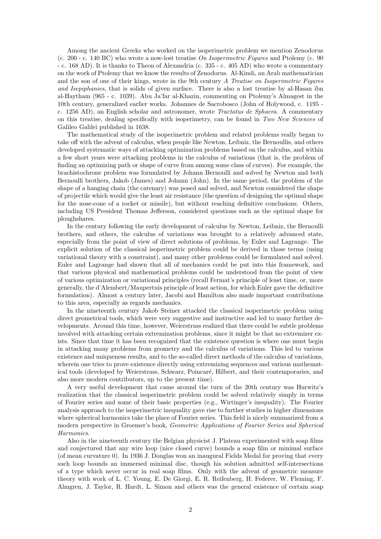Among the ancient Greeks who worked on the isoperimetric problem we mention Zenodorus (c. 200 - c. 140 BC) who wrote a now-lost treatise On Isoperimetric Figures and Ptolemy (c. 90 - c. 168 AD). It is thanks to Theon of Alexandria (c. 335 - c. 405 AD) who wrote a commentary on the work of Ptolemy that we know the results of Zenodorus. Al-Kindi, an Arab mathematician and the son of one of their kings, wrote in the 9th century A Treatise on Isoperimetric Figures and Isepiphanies, that is solids of given surface. There is also a lost treatise by al-Hasan ibn al-Haytham (965 - c. 1039). Abu Ja'far al-Khazin, commenting on Ptolemy's Almagest in the 10th century, generalized earlier works. Johannes de Sacrobosco (John of Holywood, c. 1195 c. 1256 AD), an English scholar and astronomer, wrote Tractatus de Sphaera. A commentary on this treatise, dealing specifically with isoperimetry, can be found in Two New Sciences of Galileo Galilei published in 1638.

The mathematical study of the isoperimetric problem and related problems really began to take off with the advent of calculus, when people like Newton, Leibniz, the Bernoullis, and others developed systematic ways of attacking optimization problems based on the calculus, and within a few short years were attacking problems in the calculus of variations (that is, the problem of finding an optimizing path or shape of curve from among some class of curves). For example, the brachistochrone problem was formulated by Johann Bernoulli and solved by Newton and both Bernoulli brothers, Jakob (James) and Johann (John). In the same period, the problem of the shape of a hanging chain (the catenary) was posed and solved, and Newton considered the shape of projectile which would give the least air resistance (the question of designing the optimal shape for the nose-cone of a rocket or missile), but without reaching definitive conclusions. Others, including US President Thomas Jefferson, considered questions such as the optimal shape for ploughshares.

In the century following the early development of calculus by Newton, Leibniz, the Bernoulli brothers, and others, the calculus of variations was brought to a relatively advanced state, especially from the point of view of direct solutions of problems, by Euler and Lagrange. The explicit solution of the classical isoperimetric problem could be derived in those terms (using variational theory with a constraint), and many other problems could be formulated and solved. Euler and Lagrange had shown that all of mechanics could be put into this framework, and that various physical and mathematical problems could be understood from the point of view of various optimization or variational principles (recall Fermat's principle of least time, or, more generally, the d'Alembert/Maupertuis principle of least action, for which Euler gave the definitive formulation). Almost a century later, Jacobi and Hamilton also made important contributions to this area, especially as regards mechanics.

In the nineteenth century Jakob Steiner attacked the classical isoperimetric problem using direct geometrical tools, which were very suggestive and instructive and led to many further developments. Around this time, however, Weierstrass realized that there could be subtle problems involved with attacking certain extremization problems, since it might be that no extremizer exists. Since that time it has been recognized that the existence question is where one must begin in attacking many problems from geometry and the calculus of variations. This led to various existence and uniqueness results, and to the so-called direct methods of the calculus of variations, wherein one tries to prove existence directly using extremizing sequences and various mathematical tools (developed by Weierstrass, Schwarz, Poincaré, Hilbert, and their contemporaries, and also more modern contributors, up to the present time).

A very useful development that came around the turn of the 20th century was Hurwitz's realization that the classical isoperimetric problem could be solved relatively simply in terms of Fourier series and some of their basic properties (e.g., Wirtinger's inequality). The Fourier analysis approach to the isoperimetric inequality gave rise to further studies in higher dimensions where spherical harmonics take the place of Fourier series. This field is nicely summarized from a modern perspective in Groemer's book, Geometric Applications of Fourier Series and Spherical Harmonics.

Also in the nineteenth century the Belgian physicist J. Plateau experimented with soap films and conjectured that any wire loop (nice closed curve) bounds a soap film or minimal surface (of mean curvature 0). In 1936 J. Douglas won an inaugural Fields Medal for proving that every such loop bounds an immersed minimal disc, though his solution admitted self-intersections of a type which never occur in real soap films. Only with the advent of geometric measure theory with work of L. C. Young, E. De Giorgi, E. R. Reifenberg, H. Federer, W. Fleming, F. Almgren, J. Taylor, R. Hardt, L. Simon and others was the general existence of certain soap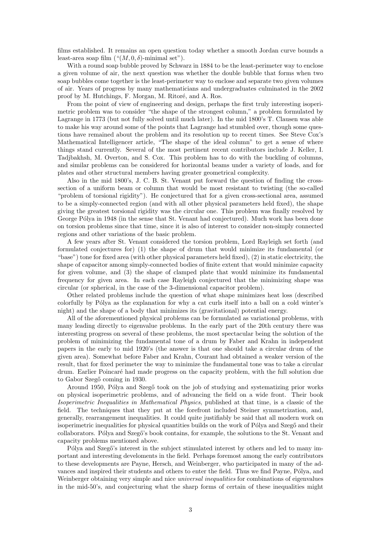films established. It remains an open question today whether a smooth Jordan curve bounds a least-area soap film  $($  " $(M, 0, \delta)$ -minimal set").

With a round soap bubble proved by Schwarz in 1884 to be the least-perimeter way to enclose a given volume of air, the next question was whether the double bubble that forms when two soap bubbles come together is the least-perimeter way to enclose and separate two given volumes of air. Years of progress by many mathematicians and undergraduates culminated in the 2002 proof by M. Hutchings, F. Morgan, M. Ritoré, and A. Ros.

From the point of view of engineering and design, perhaps the first truly interesting isoperimetric problem was to consider "the shape of the strongest column," a problem formulated by Lagrange in 1773 (but not fully solved until much later). In the mid 1800's T. Clausen was able to make his way around some of the points that Lagrange had stumbled over, though some questions have remained about the problem and its resolution up to recent times. See Steve Cox's Mathematical Intelligencer article, "The shape of the ideal column" to get a sense of where things stand currently. Several of the most pertinent recent contributors include J. Keller, I. Tadjbakhsh, M. Overton, and S. Cox. This problem has to do with the buckling of columns, and similar problems can be considered for horizontal beams under a variety of loads, and for plates and other structural members having greater geometrical complexity.

Also in the mid 1800's, J. C. B. St. Venant put forward the question of finding the crosssection of a uniform beam or column that would be most resistant to twisting (the so-called "problem of torsional rigidity"). He conjectured that for a given cross-sectional area, assumed to be a simply-connected region (and with all other physical parameters held fixed), the shape giving the greatest torsional rigidity was the circular one. This problem was finally resolved by George Pólya in 1948 (in the sense that St. Venant had conjectured). Much work has been done on torsion problems since that time, since it is also of interest to consider non-simply connected regions and other variations of the basic problem.

A few years after St. Venant considered the torsion problem, Lord Rayleigh set forth (and formulated conjectures for) (1) the shape of drum that would minimize its fundamental (or "base") tone for fixed area (with other physical parameters held fixed), (2) in static electricity, the shape of capacitor among simply-connected bodies of finite extent that would minimize capacity for given volume, and (3) the shape of clamped plate that would minimize its fundamental frequency for given area. In each case Rayleigh conjectured that the minimizing shape was circular (or spherical, in the case of the 3-dimensional capacitor problem).

Other related problems include the question of what shape minimizes heat loss (described colorfully by Pólya as the explanation for why a cat curls itself into a ball on a cold winter's night) and the shape of a body that minimizes its (gravitational) potential energy.

All of the aforementioned physical problems can be formulated as variational problems, with many leading directly to eigenvalue problems. In the early part of the 20th century there was interesting progress on several of these problems, the most spectacular being the solution of the problem of minimizing the fundamental tone of a drum by Faber and Krahn in independent papers in the early to mid 1920's (the answer is that one should take a circular drum of the given area). Somewhat before Faber and Krahn, Courant had obtained a weaker version of the result, that for fixed perimeter the way to minimize the fundamental tone was to take a circular drum. Earlier Poincar´e had made progress on the capacity problem, with the full solution due to Gabor Szegő coming in 1930.

Around 1950, Pólya and Szegő took on the job of studying and systematizing prior works on physical isoperimetric problems, and of advancing the field on a wide front. Their book Isoperimetric Inequalities in Mathematical Physics, published at that time, is a classic of the field. The techniques that they put at the forefront included Steiner symmetrization, and, generally, rearrangement inequalities. It could quite justifiably be said that all modern work on isoperimetric inequalities for physical quantities builds on the work of Pólya and Szegő and their collaborators. Pólya and Szegő's book contains, for example, the solutions to the St. Venant and capacity problems mentioned above.

Pólya and Szegő's interest in the subject stimulated interest by others and led to many important and interesting develoments in the field. Perhaps foremost among the early contributors to these developments are Payne, Hersch, and Weinberger, who participated in many of the advances and inspired their students and others to enter the field. Thus we find Payne, Pólya, and Weinberger obtaining very simple and nice *universal inequalities* for combinations of eigenvalues in the mid-50's, and conjecturing what the sharp forms of certain of these inequalities might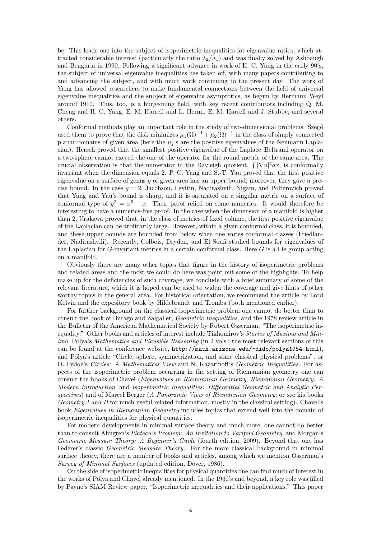be. This leads one into the subject of isoperimetric inequalities for eigenvalue ratios, which attracted considerable interest (particularly the ratio  $\lambda_2/\lambda_1$ ) and was finally solved by Ashbaugh and Benguria in 1990. Following a significant advance in work of H. C. Yang in the early 90's, the subject of universal eigenvalue inequalities has taken off, with many papers contributing to and advancing the subject, and with much work continuing to the present day. The work of Yang has allowed researchers to make fundamental connections between the field of universal eigenvalue inequalities and the subject of eigenvalue asymptotics, as begun by Hermann Weyl around 1910. This, too, is a burgeoning field, with key recent contributors including Q. M. Cheng and H. C. Yang, E. M. Harrell and L. Hermi, E. M. Harrell and J. Stubbe, and several others.

Conformal methods play an important role in the study of two-dimensional problems. Szegő used them to prove that the disk minimizes  $\mu_1(\Omega)^{-1} + \mu_2(\Omega)^{-1}$  in the class of simply connected planar domains of given area (here the  $\mu_j$ 's are the positive eigenvalues of the Neumann Laplacian). Hersch proved that the smallest positive eigenvalue of the Laplace–Beltrami operator on a two-sphere cannot exceed the one of the operator for the round metric of the same area. The crucial observation is that the numerator in the Rayleigh quotient,  $\int |\nabla u|^2 dx$ , is conformally invariant when the dimension equals 2. P. C. Yang and S.-T. Yau proved that the first positive eigenvalue on a surface of genus  $q$  of given area has an upper bound; moreover, they gave a precise bound. In the case  $q = 2$ , Jacobson, Levitin, Nadirashvili, Nigam, and Polterovich proved that Yang and Yau's bound is sharp, and it is saturated on a singular metric on a surface of conformal type of  $y^2 = x^5 - x$ . Their proof relied on some numerics. It would therefore be interesting to have a numerics-free proof. In the case when the dimension of a manifold is higher than 2, Urakawa proved that, in the class of metrics of fixed volume, the first positive eigenvalue of the Laplacian can be arbitrarily large. However, within a given conformal class, it is bounded, and these upper bounds are bounded from below when one varies conformal classes (Friedlander, Nadirashvili). Recently, Colbois, Dryden, and El Soufi studied bounds for eigenvalues of the Laplacian for  $G$ -invariant metrics in a certain conformal class. Here  $G$  is a Lie group acting on a manifold.

Obviously there are many other topics that figure in the history of isoperimetric problems and related areas and the most we could do here was point out some of the highlights. To help make up for the deficiencies of such coverage, we conclude with a brief summary of some of the relevant literature, which it is hoped can be used to widen the coverage and give hints of other worthy topics in the general area. For historical orientation, we recommend the article by Lord Kelvin and the expository book by Hildebrandt and Tromba (both mentioned earlier).

For further background on the classical isoperimetric problem one cannot do better than to consult the book of Burago and Zalgaller, Geometric Inequalities, and the 1978 review article in the Bulletin of the American Mathematical Society by Robert Osserman, "The isoperimetric inequality." Other books and articles of interest include Tikhomirov's Stories of Maxima and Min*ima*, Pólya's *Mathematics and Plausible Reasoning* (in 2 vols.; the most relevant sections of this can be found at the conference website, <http://math.arizona.edu/~dido/polya1954.html>), and Pólya's article "Circle, sphere, symmetrization, and some classical physical problems", or D. Pedoe's Circles: A Mathematical View and N. Kazarinoff's Geometric Inequalities. For aspects of the isoperimetric problem occurring in the setting of Riemannian geometry one can consult the books of Chavel (Eigenvalues in Riemannian Geometry, Riemannian Geometry: A Modern Introduction, and Isoperimetric Inequalities: Differential Geometric and Analytic Perspectives) and of Marcel Berger (A Panoramic View of Riemannian Geometry; or see his books Geometry I and II for much useful related information, mostly in the classical setting). Chavel's book Eigenvalues in Riemannian Geometry includes topics that extend well into the domain of isoperimetric inequalities for physical quantities.

For modern developments in minimal surface theory and much more, one cannot do better than to consult Almgren's Plateau's Problem: An Invitation to Varifold Geometry, and Morgan's Geometric Measure Theory: A Beginner's Guide (fourth edition, 2009). Beyond that one has Federer's classic *Geometric Measure Theory*. For the more classical background in minimal surface theory, there are a number of books and articles, among which we mention Osserman's Survey of Minimal Surfaces (updated edition, Dover, 1986).

On the side of isoperimetric inequalities for physical quantities one can find much of interest in the works of Pólya and Chavel already mentioned. In the 1960's and beyond, a key role was filled by Payne's SIAM Review paper, "Isoperimetric inequalities and their applications." This paper